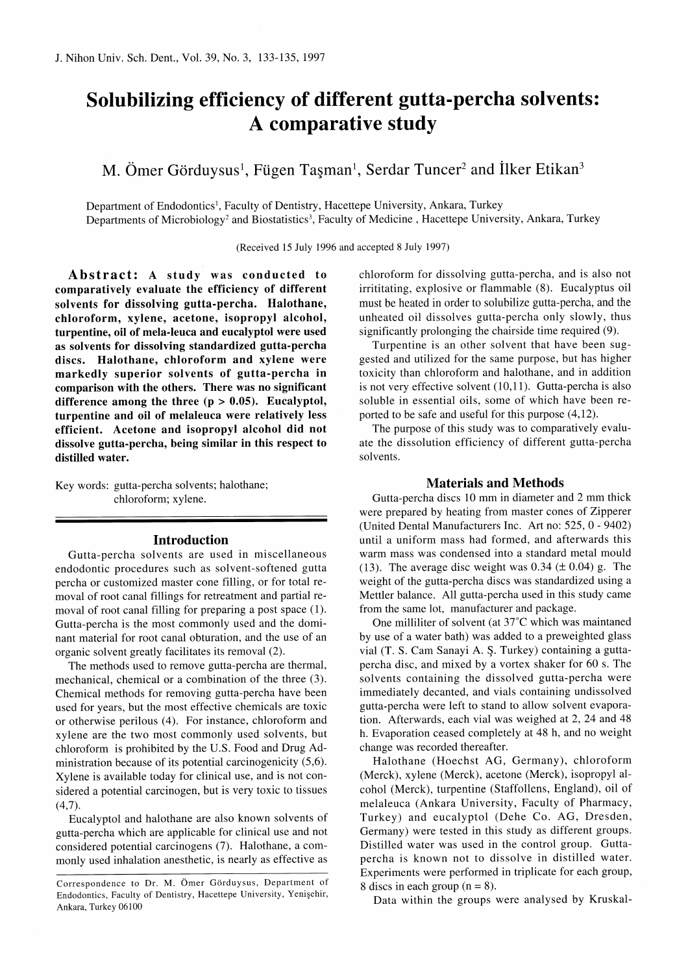# Solubilizing efficiency of different gutta-percha solvents: A comparative study

M. Ömer Görduysus<sup>1</sup>, Fügen Taşman<sup>1</sup>, Serdar Tuncer<sup>2</sup> and İlker Etikan<sup>3</sup>

Department of Endodontics<sup>1</sup>, Faculty of Dentistry, Hacettepe University, Ankara, Turkey

Departments of Microbiology<sup>2</sup> and Biostatistics<sup>3</sup>, Faculty of Medicine, Hacettepe University, Ankara, Turkey

(Received 15 July 1996 and accepted 8 July 1997)

Abstract: A study was conducted to comparatively evaluate the efficiency of different solvents for dissolving gutta-percha. Halothane, chloroform, xylene, acetone, isopropyl alcohol, turpentine, oil of mela-leuca and eucalyptol were used as solvents for dissolving standardized gutta-percha discs. Halothane, chloroform and xylene were markedly superior solvents of gutta-percha in comparison with the others. There was no significant difference among the three  $(p > 0.05)$ . Eucalyptol, turpentine and oil of melaleuca were relatively less efficient. Acetone and isopropyl alcohol did not dissolve gutta-percha, being similar in this respect to distilled water.

Key words: gutta-percha solvents; halothane; chloroform; xylene.

#### Introduction

Gutta-percha solvents are used in miscellaneous endodontic procedures such as solvent-softened gutta percha or customized master cone filling, or for total removal of root canal fillings for retreatment and partial removal of root canal filling for preparing a post space (1). Gutta-percha is the most commonly used and the dominant material for root canal obturation, and the use of an organic solvent greatly facilitates its removal (2).

The methods used to remove gutta-percha are thermal, mechanical, chemical or a combination of the three (3). Chemical methods for removing gutta-percha have been used for years, but the most effective chemicals are toxic or otherwise perilous (4). For instance, chloroform and xylene are the two most commonly used solvents, but chloroform is prohibited by the U.S. Food and Drug Administration because of its potential carcinogenicity (5,6). Xylene is available today for clinical use, and is not considered a potential carcinogen, but is very toxic to tissues  $(4,7)$ .

Eucalyptol and halothane are also known solvents of gutta-percha which are applicable for clinical use and not considered potential carcinogens (7). Halothane, a commonly used inhalation anesthetic, is nearly as effective as chloroform for dissolving gutta-percha, and is also not irrititating, explosive or flammable (8). Eucalyptus oil must be heated in order to solubilize gutta-percha, and the unheated oil dissolves gutta-percha only slowly, thus significantly prolonging the chairside time required (9).

Turpentine is an other solvent that have been suggested and utilized for the same purpose, but has higher toxicity than chloroform and halothane, and in addition is not very effective solvent (10,11). Gutta-percha is also soluble in essential oils, some of which have been reported to be safe and useful for this purpose (4,12).

The purpose of this study was to comparatively evaluate the dissolution efficiency of different gutta-percha solvents.

## Materials and Methods

Gutta-percha discs 10 mm in diameter and 2 mm thick were prepared by heating from master cones of Zipperer (United Dental Manufacturers Inc. Art no: 525, 0 - 9402) until a uniform mass had formed, and afterwards this warm mass was condensed into a standard metal mould (13). The average disc weight was 0.34 ( $\pm$  0.04) g. The weight of the gutta-percha discs was standardized using a Mettler balance. All gutta-percha used in this study came from the same lot, manufacturer and package.

One milliliter of solvent (at 37°C which was maintaned by use of a water bath) was added to a preweighted glass vial (T. S. Cam Sanayi A. Ş. Turkey) containing a guttapercha disc, and mixed by a vortex shaker for 60 s. The solvents containing the dissolved gutta-percha were immediately decanted, and vials containing undissolved gutta-percha were left to stand to allow solvent evaporation. Afterwards, each vial was weighed at 2, 24 and 48 h. Evaporation ceased completely at 48 h, and no weight change was recorded thereafter.

Halothane (Hoechst AG, Germany), chloroform (Merck), xylene (Merck), acetone (Merck), isopropyl alcohol (Merck), turpentine (Staffollens, England), oil of melaleuca (Ankara University, Faculty of Pharmacy, Turkey) and eucalyptol (Dehe Co. AG, Dresden, Germany) were tested in this study as different groups. Distilled water was used in the control group. Guttapercha is known not to dissolve in distilled water. Experiments were performed in triplicate for each group, 8 discs in each group  $(n = 8)$ .

Data within the groups were analysed by Kruskal-

Correspondence to Dr. M. Ömer Görduysus, Department of Endodontics, Faculty of Dentistry, Hacettepe University, Yenişehir, Ankara, Turkey 06100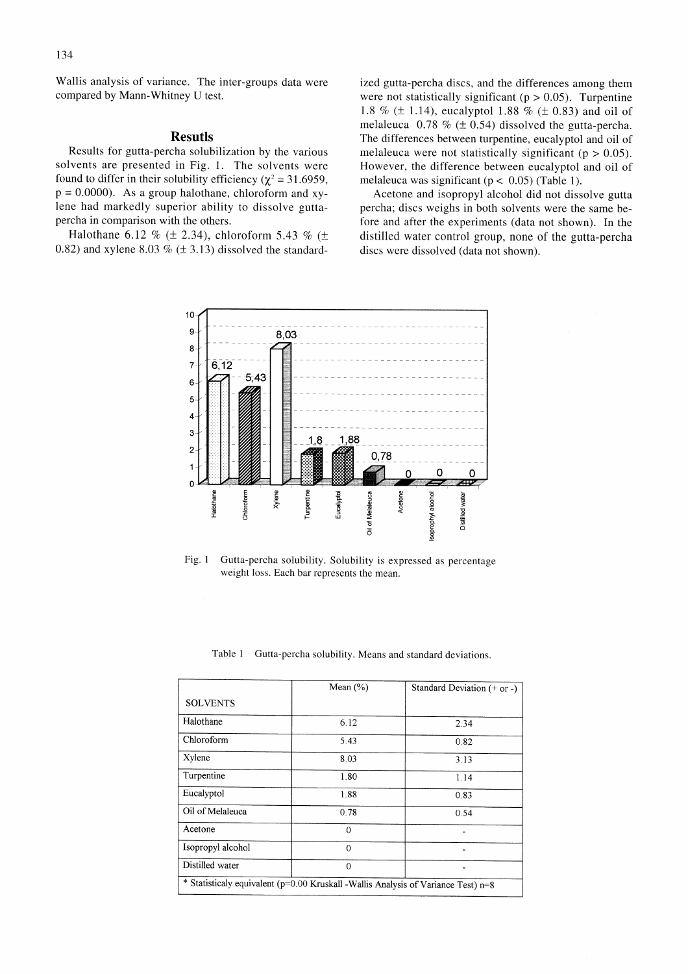Wallis analysis of variance. The inter-groups data were compared by Mann-Whitney U test.

### Resutls

Results for gutta-percha solubilization by the various solvents are presented in Fig. 1. The solvents were found to differ in their solubility efficiency ( $\chi^2$  = 31.6959,  $p = 0.0000$ . As a group halothane, chloroform and xylene had markedly superior ability to dissolve guttapercha in comparison with the others.

Halothane 6.12 % ( $\pm$  2.34), chloroform 5.43 % ( $\pm$ 0.82) and xylene 8.03 %  $(\pm 3.13)$  dissolved the standard-

ized gutta-percha discs, and the differences among them were not statistically significant ( $p > 0.05$ ). Turpentine 1.8 % ( $\pm$  1.14), eucalyptol 1.88 % ( $\pm$  0.83) and oil of melaleuca 0.78 % ( $\pm$  0.54) dissolved the gutta-percha. The differences between turpentine, eucalyptol and oil of melaleuca were not statistically significant ( $p > 0.05$ ). However, the difference between eucalyptol and oil of melaleuca was significant ( $p < 0.05$ ) (Table 1).

Acetone and isopropyl alcohol did not dissolve gutta percha; discs weighs in both solvents were the same before and after the experiments (data not shown). In the distilled water control group, none of the gutta-percha discs were dissolved (data not shown).



Fig. 1 Gutta-percha solubility. Solubility is expressed as percentage weight loss. Each bar represents the mean.

| Table 1 Gutta-percha solubility. Means and standard deviations. |
|-----------------------------------------------------------------|
|                                                                 |

|                                                                                   | Mean $(\% )$ | Standard Deviation $(+ or -)$ |  |
|-----------------------------------------------------------------------------------|--------------|-------------------------------|--|
| <b>SOLVENTS</b>                                                                   |              |                               |  |
| Halothane                                                                         | 6.12         | 2.34                          |  |
| Chloroform                                                                        | 5.43         | 0.82                          |  |
| Xylene                                                                            | 8.03         | 3.13                          |  |
| Turpentine                                                                        | 1.80         | 1.14                          |  |
| Eucalyptol                                                                        | 1.88         | 0.83                          |  |
| Oil of Melaleuca                                                                  | 0.78         | 0.54                          |  |
| Acetone                                                                           | $\Omega$     |                               |  |
| Isopropyl alcohol                                                                 | $\theta$     |                               |  |
| Distilled water                                                                   | $\Omega$     |                               |  |
| * Statisticaly equivalent (p=0.00 Kruskall -Wallis Analysis of Variance Test) n=8 |              |                               |  |